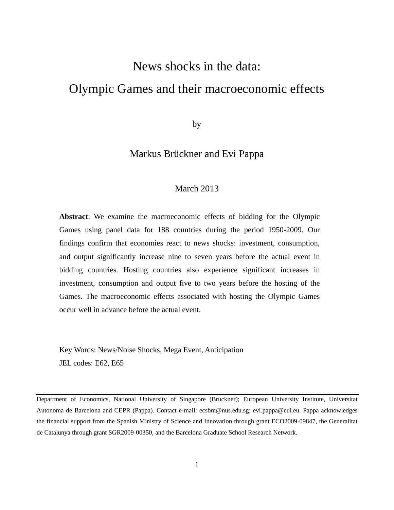# News shocks in the data: Olympic Games and their macroeconomic effects

by

## Markus Brückner and Evi Pappa

### March 2013

**Abstract**: We examine the macroeconomic effects of bidding for the Olympic Games using panel data for 188 countries during the period 1950-2009. Our findings confirm that economies react to news shocks: investment, consumption, and output significantly increase nine to seven years before the actual event in bidding countries. Hosting countries also experience significant increases in investment, consumption and output five to two years before the hosting of the Games. The macroeconomic effects associated with hosting the Olympic Games occur well in advance before the actual event.

Key Words: News/Noise Shocks, Mega Event, Anticipation JEL codes: E62, E65

Department of Economics, National University of Singapore (Bruckner); European University Institute, Universitat Autonoma de Barcelona and CEPR (Pappa). Contact e-mail: ecsbm@nus.edu.sg; evi.pappa@eui.eu. Pappa acknowledges the financial support from the Spanish Ministry of Science and Innovation through grant ECO2009-09847, the Generalitat de Catalunya through grant SGR2009-00350, and the Barcelona Graduate School Research Network.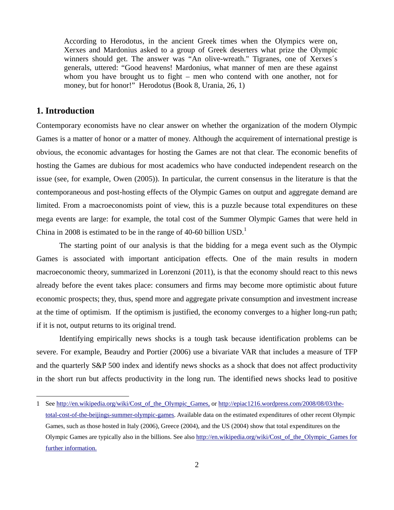According to Herodotus, in the ancient Greek times when the Olympics were on, Xerxes and Mardonius asked to a group of Greek deserters what prize the Olympic winners should get. The answer was "An olive-wreath." Tigranes, one of Xerxes´s generals, uttered: "Good heavens! Mardonius, what manner of men are these against whom you have brought us to fight – men who contend with one another, not for money, but for honor!" Herodotus (Book 8, Urania, 26, 1)

#### **1. Introduction**

 $\overline{a}$ 

Contemporary economists have no clear answer on whether the organization of the modern Olympic Games is a matter of honor or a matter of money. Although the acquirement of international prestige is obvious, the economic advantages for hosting the Games are not that clear. The economic benefits of hosting the Games are dubious for most academics who have conducted independent research on the issue (see, for example, Owen (2005)). In particular, the current consensus in the literature is that the contemporaneous and post-hosting effects of the Olympic Games on output and aggregate demand are limited. From a macroeconomists point of view, this is a puzzle because total expenditures on these mega events are large: for example, the total cost of the Summer Olympic Games that were held in China in 2008 is estimated to be in the range of 40-60 billion  $USD<sup>1</sup>$ .

 The starting point of our analysis is that the bidding for a mega event such as the Olympic Games is associated with important anticipation effects. One of the main results in modern macroeconomic theory, summarized in Lorenzoni (2011), is that the economy should react to this news already before the event takes place: consumers and firms may become more optimistic about future economic prospects; they, thus, spend more and aggregate private consumption and investment increase at the time of optimism. If the optimism is justified, the economy converges to a higher long-run path; if it is not, output returns to its original trend.

Identifying empirically news shocks is a tough task because identification problems can be severe. For example, Beaudry and Portier (2006) use a bivariate VAR that includes a measure of TFP and the quarterly S&P 500 index and identify news shocks as a shock that does not affect productivity in the short run but affects productivity in the long run. The identified news shocks lead to positive

<sup>1</sup> See http://en.wikipedia.org/wiki/Cost\_of\_the\_Olympic\_Games, or http://epiac1216.wordpress.com/2008/08/03/thetotal-cost-of-the-beijings-summer-olympic-games. Available data on the estimated expenditures of other recent Olympic Games, such as those hosted in Italy (2006), Greece (2004), and the US (2004) show that total expenditures on the Olympic Games are typically also in the billions. See also http://en.wikipedia.org/wiki/Cost\_of\_the\_Olympic\_Games for further information.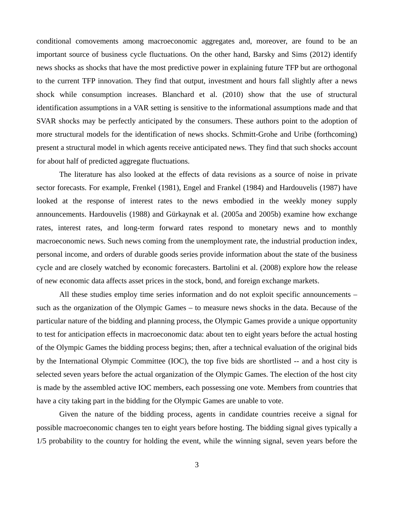conditional comovements among macroeconomic aggregates and, moreover, are found to be an important source of business cycle fluctuations. On the other hand, Barsky and Sims (2012) identify news shocks as shocks that have the most predictive power in explaining future TFP but are orthogonal to the current TFP innovation. They find that output, investment and hours fall slightly after a news shock while consumption increases. Blanchard et al. (2010) show that the use of structural identification assumptions in a VAR setting is sensitive to the informational assumptions made and that SVAR shocks may be perfectly anticipated by the consumers. These authors point to the adoption of more structural models for the identification of news shocks. Schmitt-Grohe and Uribe (forthcoming) present a structural model in which agents receive anticipated news. They find that such shocks account for about half of predicted aggregate fluctuations.

The literature has also looked at the effects of data revisions as a source of noise in private sector forecasts. For example, Frenkel (1981), Engel and Frankel (1984) and Hardouvelis (1987) have looked at the response of interest rates to the news embodied in the weekly money supply announcements. Hardouvelis (1988) and Gürkaynak et al. (2005a and 2005b) examine how exchange rates, interest rates, and long-term forward rates respond to monetary news and to monthly macroeconomic news. Such news coming from the unemployment rate, the industrial production index, personal income, and orders of durable goods series provide information about the state of the business cycle and are closely watched by economic forecasters. Bartolini et al. (2008) explore how the release of new economic data affects asset prices in the stock, bond, and foreign exchange markets.

 All these studies employ time series information and do not exploit specific announcements – such as the organization of the Olympic Games – to measure news shocks in the data. Because of the particular nature of the bidding and planning process, the Olympic Games provide a unique opportunity to test for anticipation effects in macroeconomic data: about ten to eight years before the actual hosting of the Olympic Games the bidding process begins; then, after a technical evaluation of the original bids by the International Olympic Committee (IOC), the top five bids are shortlisted -- and a host city is selected seven years before the actual organization of the Olympic Games. The election of the host city is made by the assembled active IOC members, each possessing one vote. Members from countries that have a city taking part in the bidding for the Olympic Games are unable to vote.

 Given the nature of the bidding process, agents in candidate countries receive a signal for possible macroeconomic changes ten to eight years before hosting. The bidding signal gives typically a 1/5 probability to the country for holding the event, while the winning signal, seven years before the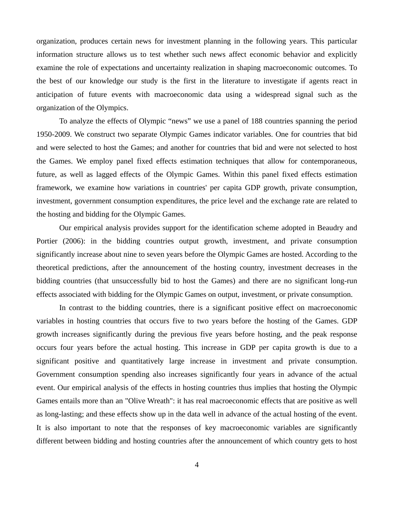organization, produces certain news for investment planning in the following years. This particular information structure allows us to test whether such news affect economic behavior and explicitly examine the role of expectations and uncertainty realization in shaping macroeconomic outcomes. To the best of our knowledge our study is the first in the literature to investigate if agents react in anticipation of future events with macroeconomic data using a widespread signal such as the organization of the Olympics.

 To analyze the effects of Olympic "news" we use a panel of 188 countries spanning the period 1950-2009. We construct two separate Olympic Games indicator variables. One for countries that bid and were selected to host the Games; and another for countries that bid and were not selected to host the Games. We employ panel fixed effects estimation techniques that allow for contemporaneous, future, as well as lagged effects of the Olympic Games. Within this panel fixed effects estimation framework, we examine how variations in countries' per capita GDP growth, private consumption, investment, government consumption expenditures, the price level and the exchange rate are related to the hosting and bidding for the Olympic Games.

Our empirical analysis provides support for the identification scheme adopted in Beaudry and Portier (2006): in the bidding countries output growth, investment, and private consumption significantly increase about nine to seven years before the Olympic Games are hosted. According to the theoretical predictions, after the announcement of the hosting country, investment decreases in the bidding countries (that unsuccessfully bid to host the Games) and there are no significant long-run effects associated with bidding for the Olympic Games on output, investment, or private consumption.

In contrast to the bidding countries, there is a significant positive effect on macroeconomic variables in hosting countries that occurs five to two years before the hosting of the Games. GDP growth increases significantly during the previous five years before hosting, and the peak response occurs four years before the actual hosting. This increase in GDP per capita growth is due to a significant positive and quantitatively large increase in investment and private consumption. Government consumption spending also increases significantly four years in advance of the actual event. Our empirical analysis of the effects in hosting countries thus implies that hosting the Olympic Games entails more than an "Olive Wreath": it has real macroeconomic effects that are positive as well as long-lasting; and these effects show up in the data well in advance of the actual hosting of the event. It is also important to note that the responses of key macroeconomic variables are significantly different between bidding and hosting countries after the announcement of which country gets to host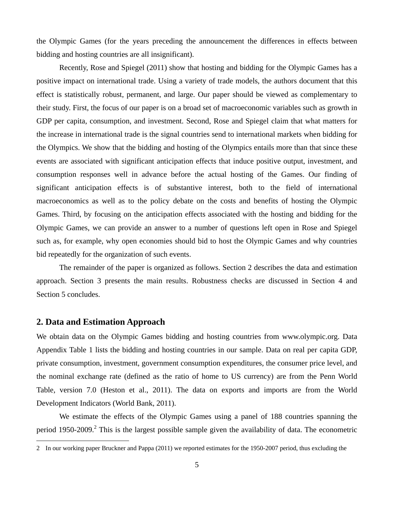the Olympic Games (for the years preceding the announcement the differences in effects between bidding and hosting countries are all insignificant).

Recently, Rose and Spiegel (2011) show that hosting and bidding for the Olympic Games has a positive impact on international trade. Using a variety of trade models, the authors document that this effect is statistically robust, permanent, and large. Our paper should be viewed as complementary to their study. First, the focus of our paper is on a broad set of macroeconomic variables such as growth in GDP per capita, consumption, and investment. Second, Rose and Spiegel claim that what matters for the increase in international trade is the signal countries send to international markets when bidding for the Olympics. We show that the bidding and hosting of the Olympics entails more than that since these events are associated with significant anticipation effects that induce positive output, investment, and consumption responses well in advance before the actual hosting of the Games. Our finding of significant anticipation effects is of substantive interest, both to the field of international macroeconomics as well as to the policy debate on the costs and benefits of hosting the Olympic Games. Third, by focusing on the anticipation effects associated with the hosting and bidding for the Olympic Games, we can provide an answer to a number of questions left open in Rose and Spiegel such as, for example, why open economies should bid to host the Olympic Games and why countries bid repeatedly for the organization of such events.

 The remainder of the paper is organized as follows. Section 2 describes the data and estimation approach. Section 3 presents the main results. Robustness checks are discussed in Section 4 and Section 5 concludes.

#### **2. Data and Estimation Approach**

 $\overline{a}$ 

We obtain data on the Olympic Games bidding and hosting countries from www.olympic.org. Data Appendix Table 1 lists the bidding and hosting countries in our sample. Data on real per capita GDP, private consumption, investment, government consumption expenditures, the consumer price level, and the nominal exchange rate (defined as the ratio of home to US currency) are from the Penn World Table, version 7.0 (Heston et al., 2011). The data on exports and imports are from the World Development Indicators (World Bank, 2011).

 We estimate the effects of the Olympic Games using a panel of 188 countries spanning the period 1950-2009.<sup>2</sup> This is the largest possible sample given the availability of data. The econometric

<sup>2</sup> In our working paper Bruckner and Pappa (2011) we reported estimates for the 1950-2007 period, thus excluding the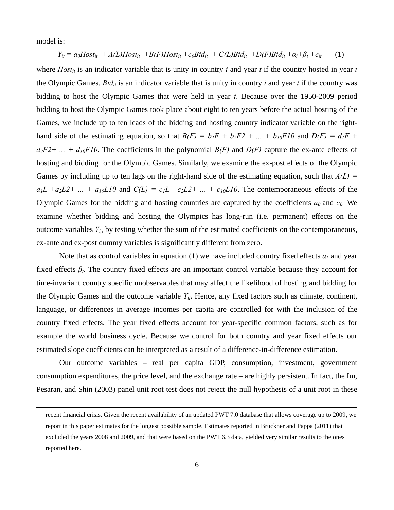model is:

$$
Y_{it} = a_0 Host_{it} + A(L) Host_{it} + B(F) Host_{it} + c_0 Bid_{it} + C(L) Bid_{it} + D(F) Bid_{it} + a_i + \beta_t + e_{it}
$$
 (1)

where  $Host_{it}$  is an indicator variable that is unity in country *i* and year *t* if the country hosted in year *t* the Olympic Games. *Bid<sub>it</sub>* is an indicator variable that is unity in country *i* and year *t* if the country was bidding to host the Olympic Games that were held in year *t*. Because over the 1950-2009 period bidding to host the Olympic Games took place about eight to ten years before the actual hosting of the Games, we include up to ten leads of the bidding and hosting country indicator variable on the righthand side of the estimating equation, so that  $B(F) = b_1F + b_2F2 + ... + b_{10}F10$  and  $D(F) = d_1F +$  $d_2F2 + ... + d_{10}F10$ . The coefficients in the polynomial  $B(F)$  and  $D(F)$  capture the ex-ante effects of hosting and bidding for the Olympic Games. Similarly, we examine the ex-post effects of the Olympic Games by including up to ten lags on the right-hand side of the estimating equation, such that  $A(L)$  =  $a_1L + a_2L2 + ... + a_{10}L10$  and  $C(L) = c_1L + c_2L2 + ... + c_{10}L10$ . The contemporaneous effects of the Olympic Games for the bidding and hosting countries are captured by the coefficients  $a_0$  and  $c_0$ . We examine whether bidding and hosting the Olympics has long-run (i.e. permanent) effects on the outcome variables *Yi,t* by testing whether the sum of the estimated coefficients on the contemporaneous, ex-ante and ex-post dummy variables is significantly different from zero.

Note that as control variables in equation (1) we have included country fixed effects  $\alpha_i$  and year fixed effects  $\beta_t$ . The country fixed effects are an important control variable because they account for time-invariant country specific unobservables that may affect the likelihood of hosting and bidding for the Olympic Games and the outcome variable  $Y_{it}$ . Hence, any fixed factors such as climate, continent, language, or differences in average incomes per capita are controlled for with the inclusion of the country fixed effects. The year fixed effects account for year-specific common factors, such as for example the world business cycle. Because we control for both country and year fixed effects our estimated slope coefficients can be interpreted as a result of a difference-in-difference estimation.

 Our outcome variables – real per capita GDP, consumption, investment, government consumption expenditures, the price level, and the exchange rate – are highly persistent. In fact, the Im, Pesaran, and Shin (2003) panel unit root test does not reject the null hypothesis of a unit root in these

recent financial crisis. Given the recent availability of an updated PWT 7.0 database that allows coverage up to 2009, we report in this paper estimates for the longest possible sample. Estimates reported in Bruckner and Pappa (2011) that excluded the years 2008 and 2009, and that were based on the PWT 6.3 data, yielded very similar results to the ones reported here.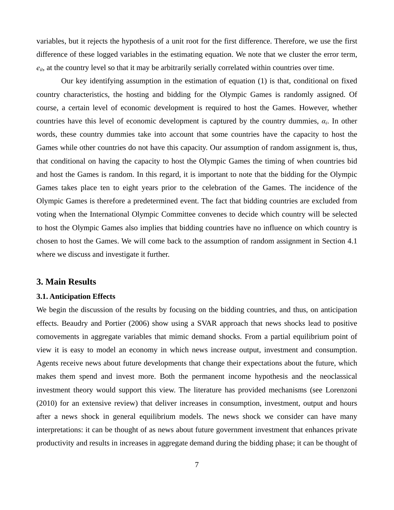variables, but it rejects the hypothesis of a unit root for the first difference. Therefore, we use the first difference of these logged variables in the estimating equation. We note that we cluster the error term,  $e_{it}$ , at the country level so that it may be arbitrarily serially correlated within countries over time.

 Our key identifying assumption in the estimation of equation (1) is that, conditional on fixed country characteristics, the hosting and bidding for the Olympic Games is randomly assigned. Of course, a certain level of economic development is required to host the Games. However, whether countries have this level of economic development is captured by the country dummies,  $\alpha_i$ . In other words, these country dummies take into account that some countries have the capacity to host the Games while other countries do not have this capacity. Our assumption of random assignment is, thus, that conditional on having the capacity to host the Olympic Games the timing of when countries bid and host the Games is random. In this regard, it is important to note that the bidding for the Olympic Games takes place ten to eight years prior to the celebration of the Games. The incidence of the Olympic Games is therefore a predetermined event. The fact that bidding countries are excluded from voting when the International Olympic Committee convenes to decide which country will be selected to host the Olympic Games also implies that bidding countries have no influence on which country is chosen to host the Games. We will come back to the assumption of random assignment in Section 4.1 where we discuss and investigate it further.

#### **3. Main Results**

#### **3.1. Anticipation Effects**

We begin the discussion of the results by focusing on the bidding countries, and thus, on anticipation effects. Beaudry and Portier (2006) show using a SVAR approach that news shocks lead to positive comovements in aggregate variables that mimic demand shocks. From a partial equilibrium point of view it is easy to model an economy in which news increase output, investment and consumption. Agents receive news about future developments that change their expectations about the future, which makes them spend and invest more. Both the permanent income hypothesis and the neoclassical investment theory would support this view. The literature has provided mechanisms (see Lorenzoni (2010) for an extensive review) that deliver increases in consumption, investment, output and hours after a news shock in general equilibrium models. The news shock we consider can have many interpretations: it can be thought of as news about future government investment that enhances private productivity and results in increases in aggregate demand during the bidding phase; it can be thought of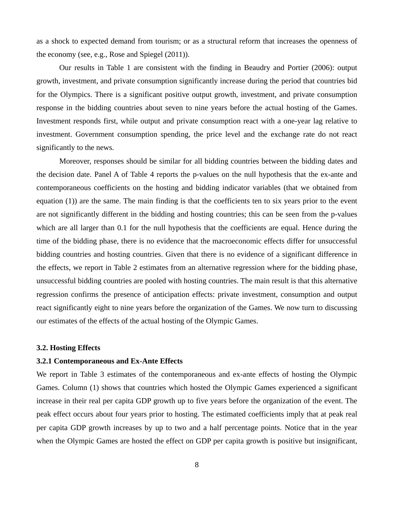as a shock to expected demand from tourism; or as a structural reform that increases the openness of the economy (see, e.g., Rose and Spiegel (2011)).

Our results in Table 1 are consistent with the finding in Beaudry and Portier (2006): output growth, investment, and private consumption significantly increase during the period that countries bid for the Olympics. There is a significant positive output growth, investment, and private consumption response in the bidding countries about seven to nine years before the actual hosting of the Games. Investment responds first, while output and private consumption react with a one-year lag relative to investment. Government consumption spending, the price level and the exchange rate do not react significantly to the news.

 Moreover, responses should be similar for all bidding countries between the bidding dates and the decision date. Panel A of Table 4 reports the p-values on the null hypothesis that the ex-ante and contemporaneous coefficients on the hosting and bidding indicator variables (that we obtained from equation (1)) are the same. The main finding is that the coefficients ten to six years prior to the event are not significantly different in the bidding and hosting countries; this can be seen from the p-values which are all larger than 0.1 for the null hypothesis that the coefficients are equal. Hence during the time of the bidding phase, there is no evidence that the macroeconomic effects differ for unsuccessful bidding countries and hosting countries. Given that there is no evidence of a significant difference in the effects, we report in Table 2 estimates from an alternative regression where for the bidding phase, unsuccessful bidding countries are pooled with hosting countries. The main result is that this alternative regression confirms the presence of anticipation effects: private investment, consumption and output react significantly eight to nine years before the organization of the Games. We now turn to discussing our estimates of the effects of the actual hosting of the Olympic Games.

#### **3.2. Hosting Effects**

#### **3.2.1 Contemporaneous and Ex-Ante Effects**

We report in Table 3 estimates of the contemporaneous and ex-ante effects of hosting the Olympic Games. Column (1) shows that countries which hosted the Olympic Games experienced a significant increase in their real per capita GDP growth up to five years before the organization of the event. The peak effect occurs about four years prior to hosting. The estimated coefficients imply that at peak real per capita GDP growth increases by up to two and a half percentage points. Notice that in the year when the Olympic Games are hosted the effect on GDP per capita growth is positive but insignificant,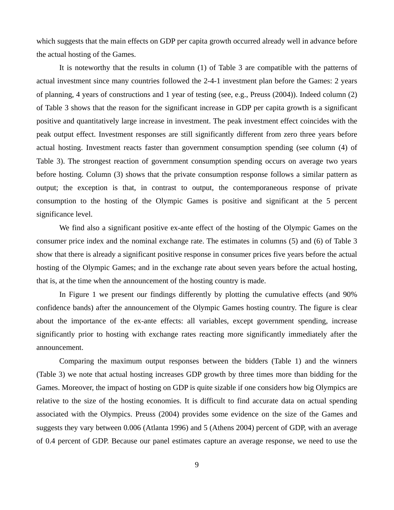which suggests that the main effects on GDP per capita growth occurred already well in advance before the actual hosting of the Games.

It is noteworthy that the results in column (1) of Table 3 are compatible with the patterns of actual investment since many countries followed the 2-4-1 investment plan before the Games: 2 years of planning, 4 years of constructions and 1 year of testing (see, e.g., Preuss (2004)). Indeed column (2) of Table 3 shows that the reason for the significant increase in GDP per capita growth is a significant positive and quantitatively large increase in investment. The peak investment effect coincides with the peak output effect. Investment responses are still significantly different from zero three years before actual hosting. Investment reacts faster than government consumption spending (see column (4) of Table 3). The strongest reaction of government consumption spending occurs on average two years before hosting. Column (3) shows that the private consumption response follows a similar pattern as output; the exception is that, in contrast to output, the contemporaneous response of private consumption to the hosting of the Olympic Games is positive and significant at the 5 percent significance level.

We find also a significant positive ex-ante effect of the hosting of the Olympic Games on the consumer price index and the nominal exchange rate. The estimates in columns (5) and (6) of Table 3 show that there is already a significant positive response in consumer prices five years before the actual hosting of the Olympic Games; and in the exchange rate about seven years before the actual hosting, that is, at the time when the announcement of the hosting country is made.

In Figure 1 we present our findings differently by plotting the cumulative effects (and 90% confidence bands) after the announcement of the Olympic Games hosting country. The figure is clear about the importance of the ex-ante effects: all variables, except government spending, increase significantly prior to hosting with exchange rates reacting more significantly immediately after the announcement.

 Comparing the maximum output responses between the bidders (Table 1) and the winners (Table 3) we note that actual hosting increases GDP growth by three times more than bidding for the Games. Moreover, the impact of hosting on GDP is quite sizable if one considers how big Olympics are relative to the size of the hosting economies. It is difficult to find accurate data on actual spending associated with the Olympics. Preuss (2004) provides some evidence on the size of the Games and suggests they vary between 0.006 (Atlanta 1996) and 5 (Athens 2004) percent of GDP, with an average of 0.4 percent of GDP. Because our panel estimates capture an average response, we need to use the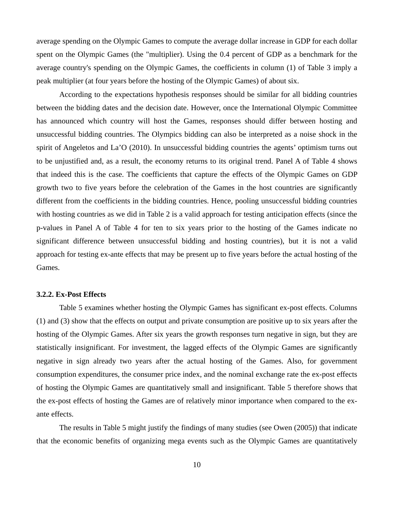average spending on the Olympic Games to compute the average dollar increase in GDP for each dollar spent on the Olympic Games (the "multiplier). Using the 0.4 percent of GDP as a benchmark for the average country's spending on the Olympic Games, the coefficients in column (1) of Table 3 imply a peak multiplier (at four years before the hosting of the Olympic Games) of about six.

According to the expectations hypothesis responses should be similar for all bidding countries between the bidding dates and the decision date. However, once the International Olympic Committee has announced which country will host the Games, responses should differ between hosting and unsuccessful bidding countries. The Olympics bidding can also be interpreted as a noise shock in the spirit of Angeletos and La'O (2010). In unsuccessful bidding countries the agents' optimism turns out to be unjustified and, as a result, the economy returns to its original trend. Panel A of Table 4 shows that indeed this is the case. The coefficients that capture the effects of the Olympic Games on GDP growth two to five years before the celebration of the Games in the host countries are significantly different from the coefficients in the bidding countries. Hence, pooling unsuccessful bidding countries with hosting countries as we did in Table 2 is a valid approach for testing anticipation effects (since the p-values in Panel A of Table 4 for ten to six years prior to the hosting of the Games indicate no significant difference between unsuccessful bidding and hosting countries), but it is not a valid approach for testing ex-ante effects that may be present up to five years before the actual hosting of the Games.

#### **3.2.2. Ex-Post Effects**

Table 5 examines whether hosting the Olympic Games has significant ex-post effects. Columns (1) and (3) show that the effects on output and private consumption are positive up to six years after the hosting of the Olympic Games. After six years the growth responses turn negative in sign, but they are statistically insignificant. For investment, the lagged effects of the Olympic Games are significantly negative in sign already two years after the actual hosting of the Games. Also, for government consumption expenditures, the consumer price index, and the nominal exchange rate the ex-post effects of hosting the Olympic Games are quantitatively small and insignificant. Table 5 therefore shows that the ex-post effects of hosting the Games are of relatively minor importance when compared to the exante effects.

 The results in Table 5 might justify the findings of many studies (see Owen (2005)) that indicate that the economic benefits of organizing mega events such as the Olympic Games are quantitatively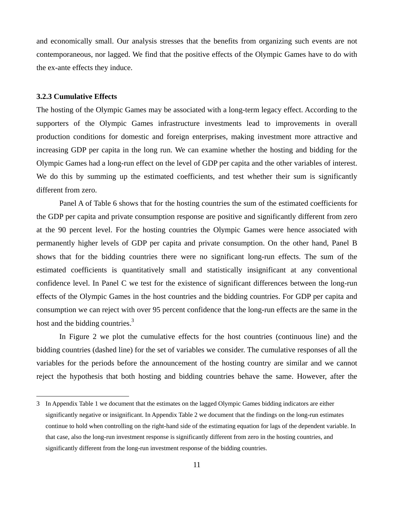and economically small. Our analysis stresses that the benefits from organizing such events are not contemporaneous, nor lagged. We find that the positive effects of the Olympic Games have to do with the ex-ante effects they induce.

#### **3.2.3 Cumulative Effects**

 $\overline{a}$ 

The hosting of the Olympic Games may be associated with a long-term legacy effect. According to the supporters of the Olympic Games infrastructure investments lead to improvements in overall production conditions for domestic and foreign enterprises, making investment more attractive and increasing GDP per capita in the long run. We can examine whether the hosting and bidding for the Olympic Games had a long-run effect on the level of GDP per capita and the other variables of interest. We do this by summing up the estimated coefficients, and test whether their sum is significantly different from zero.

 Panel A of Table 6 shows that for the hosting countries the sum of the estimated coefficients for the GDP per capita and private consumption response are positive and significantly different from zero at the 90 percent level. For the hosting countries the Olympic Games were hence associated with permanently higher levels of GDP per capita and private consumption. On the other hand, Panel B shows that for the bidding countries there were no significant long-run effects. The sum of the estimated coefficients is quantitatively small and statistically insignificant at any conventional confidence level. In Panel C we test for the existence of significant differences between the long-run effects of the Olympic Games in the host countries and the bidding countries. For GDP per capita and consumption we can reject with over 95 percent confidence that the long-run effects are the same in the host and the bidding countries.<sup>3</sup>

In Figure 2 we plot the cumulative effects for the host countries (continuous line) and the bidding countries (dashed line) for the set of variables we consider. The cumulative responses of all the variables for the periods before the announcement of the hosting country are similar and we cannot reject the hypothesis that both hosting and bidding countries behave the same. However, after the

<sup>3</sup> In Appendix Table 1 we document that the estimates on the lagged Olympic Games bidding indicators are either significantly negative or insignificant. In Appendix Table 2 we document that the findings on the long-run estimates continue to hold when controlling on the right-hand side of the estimating equation for lags of the dependent variable. In that case, also the long-run investment response is significantly different from zero in the hosting countries, and significantly different from the long-run investment response of the bidding countries.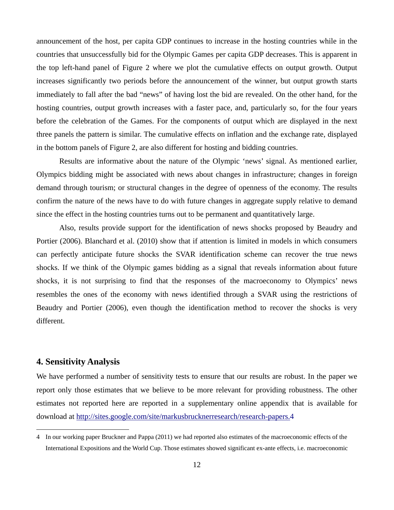announcement of the host, per capita GDP continues to increase in the hosting countries while in the countries that unsuccessfully bid for the Olympic Games per capita GDP decreases. This is apparent in the top left-hand panel of Figure 2 where we plot the cumulative effects on output growth. Output increases significantly two periods before the announcement of the winner, but output growth starts immediately to fall after the bad "news" of having lost the bid are revealed. On the other hand, for the hosting countries, output growth increases with a faster pace, and, particularly so, for the four years before the celebration of the Games. For the components of output which are displayed in the next three panels the pattern is similar. The cumulative effects on inflation and the exchange rate, displayed in the bottom panels of Figure 2, are also different for hosting and bidding countries.

Results are informative about the nature of the Olympic 'news' signal. As mentioned earlier, Olympics bidding might be associated with news about changes in infrastructure; changes in foreign demand through tourism; or structural changes in the degree of openness of the economy. The results confirm the nature of the news have to do with future changes in aggregate supply relative to demand since the effect in the hosting countries turns out to be permanent and quantitatively large.

Also, results provide support for the identification of news shocks proposed by Beaudry and Portier (2006). Blanchard et al. (2010) show that if attention is limited in models in which consumers can perfectly anticipate future shocks the SVAR identification scheme can recover the true news shocks. If we think of the Olympic games bidding as a signal that reveals information about future shocks, it is not surprising to find that the responses of the macroeconomy to Olympics' news resembles the ones of the economy with news identified through a SVAR using the restrictions of Beaudry and Portier (2006), even though the identification method to recover the shocks is very different.

## **4. Sensitivity Analysis**

 $\overline{a}$ 

We have performed a number of sensitivity tests to ensure that our results are robust. In the paper we report only those estimates that we believe to be more relevant for providing robustness. The other estimates not reported here are reported in a supplementary online appendix that is available for download at http://sites.google.com/site/markusbrucknerresearch/research-papers.4

<sup>4</sup> In our working paper Bruckner and Pappa (2011) we had reported also estimates of the macroeconomic effects of the International Expositions and the World Cup. Those estimates showed significant ex-ante effects, i.e. macroeconomic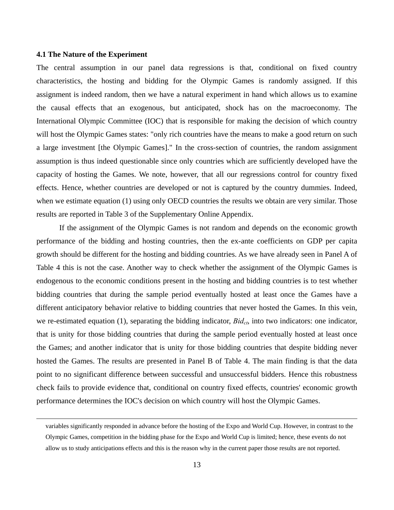#### **4.1 The Nature of the Experiment**

The central assumption in our panel data regressions is that, conditional on fixed country characteristics, the hosting and bidding for the Olympic Games is randomly assigned. If this assignment is indeed random, then we have a natural experiment in hand which allows us to examine the causal effects that an exogenous, but anticipated, shock has on the macroeconomy. The International Olympic Committee (IOC) that is responsible for making the decision of which country will host the Olympic Games states: "only rich countries have the means to make a good return on such a large investment [the Olympic Games]." In the cross-section of countries, the random assignment assumption is thus indeed questionable since only countries which are sufficiently developed have the capacity of hosting the Games. We note, however, that all our regressions control for country fixed effects. Hence, whether countries are developed or not is captured by the country dummies. Indeed, when we estimate equation (1) using only OECD countries the results we obtain are very similar. Those results are reported in Table 3 of the Supplementary Online Appendix.

 If the assignment of the Olympic Games is not random and depends on the economic growth performance of the bidding and hosting countries, then the ex-ante coefficients on GDP per capita growth should be different for the hosting and bidding countries. As we have already seen in Panel A of Table 4 this is not the case. Another way to check whether the assignment of the Olympic Games is endogenous to the economic conditions present in the hosting and bidding countries is to test whether bidding countries that during the sample period eventually hosted at least once the Games have a different anticipatory behavior relative to bidding countries that never hosted the Games. In this vein, we re-estimated equation (1), separating the bidding indicator, *Bid<sub>ct*</sub>, into two indicators: one indicator, that is unity for those bidding countries that during the sample period eventually hosted at least once the Games; and another indicator that is unity for those bidding countries that despite bidding never hosted the Games. The results are presented in Panel B of Table 4. The main finding is that the data point to no significant difference between successful and unsuccessful bidders. Hence this robustness check fails to provide evidence that, conditional on country fixed effects, countries' economic growth performance determines the IOC's decision on which country will host the Olympic Games.

variables significantly responded in advance before the hosting of the Expo and World Cup. However, in contrast to the Olympic Games, competition in the bidding phase for the Expo and World Cup is limited; hence, these events do not allow us to study anticipations effects and this is the reason why in the current paper those results are not reported.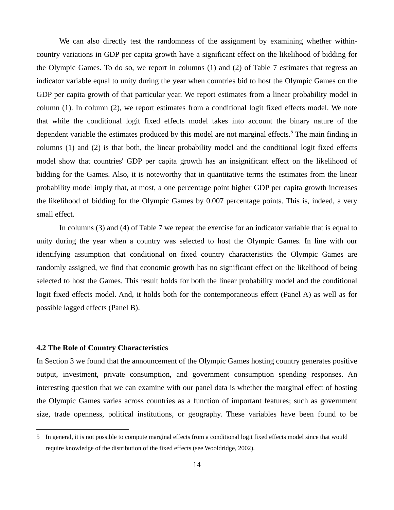We can also directly test the randomness of the assignment by examining whether withincountry variations in GDP per capita growth have a significant effect on the likelihood of bidding for the Olympic Games. To do so, we report in columns (1) and (2) of Table 7 estimates that regress an indicator variable equal to unity during the year when countries bid to host the Olympic Games on the GDP per capita growth of that particular year. We report estimates from a linear probability model in column (1). In column (2), we report estimates from a conditional logit fixed effects model. We note that while the conditional logit fixed effects model takes into account the binary nature of the dependent variable the estimates produced by this model are not marginal effects.<sup>5</sup> The main finding in columns (1) and (2) is that both, the linear probability model and the conditional logit fixed effects model show that countries' GDP per capita growth has an insignificant effect on the likelihood of bidding for the Games. Also, it is noteworthy that in quantitative terms the estimates from the linear probability model imply that, at most, a one percentage point higher GDP per capita growth increases the likelihood of bidding for the Olympic Games by 0.007 percentage points. This is, indeed, a very small effect.

In columns (3) and (4) of Table 7 we repeat the exercise for an indicator variable that is equal to unity during the year when a country was selected to host the Olympic Games. In line with our identifying assumption that conditional on fixed country characteristics the Olympic Games are randomly assigned, we find that economic growth has no significant effect on the likelihood of being selected to host the Games. This result holds for both the linear probability model and the conditional logit fixed effects model. And, it holds both for the contemporaneous effect (Panel A) as well as for possible lagged effects (Panel B).

#### **4.2 The Role of Country Characteristics**

 $\overline{a}$ 

In Section 3 we found that the announcement of the Olympic Games hosting country generates positive output, investment, private consumption, and government consumption spending responses. An interesting question that we can examine with our panel data is whether the marginal effect of hosting the Olympic Games varies across countries as a function of important features; such as government size, trade openness, political institutions, or geography. These variables have been found to be

<sup>5</sup> In general, it is not possible to compute marginal effects from a conditional logit fixed effects model since that would require knowledge of the distribution of the fixed effects (see Wooldridge, 2002).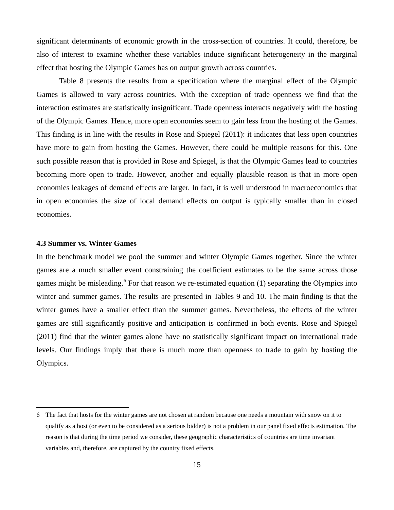significant determinants of economic growth in the cross-section of countries. It could, therefore, be also of interest to examine whether these variables induce significant heterogeneity in the marginal effect that hosting the Olympic Games has on output growth across countries.

 Table 8 presents the results from a specification where the marginal effect of the Olympic Games is allowed to vary across countries. With the exception of trade openness we find that the interaction estimates are statistically insignificant. Trade openness interacts negatively with the hosting of the Olympic Games. Hence, more open economies seem to gain less from the hosting of the Games. This finding is in line with the results in Rose and Spiegel (2011): it indicates that less open countries have more to gain from hosting the Games. However, there could be multiple reasons for this. One such possible reason that is provided in Rose and Spiegel, is that the Olympic Games lead to countries becoming more open to trade. However, another and equally plausible reason is that in more open economies leakages of demand effects are larger. In fact, it is well understood in macroeconomics that in open economies the size of local demand effects on output is typically smaller than in closed economies.

#### **4.3 Summer vs. Winter Games**

 $\overline{a}$ 

In the benchmark model we pool the summer and winter Olympic Games together. Since the winter games are a much smaller event constraining the coefficient estimates to be the same across those games might be misleading.<sup>6</sup> For that reason we re-estimated equation (1) separating the Olympics into winter and summer games. The results are presented in Tables 9 and 10. The main finding is that the winter games have a smaller effect than the summer games. Nevertheless, the effects of the winter games are still significantly positive and anticipation is confirmed in both events. Rose and Spiegel (2011) find that the winter games alone have no statistically significant impact on international trade levels. Our findings imply that there is much more than openness to trade to gain by hosting the Olympics.

<sup>6</sup> The fact that hosts for the winter games are not chosen at random because one needs a mountain with snow on it to qualify as a host (or even to be considered as a serious bidder) is not a problem in our panel fixed effects estimation. The reason is that during the time period we consider, these geographic characteristics of countries are time invariant variables and, therefore, are captured by the country fixed effects.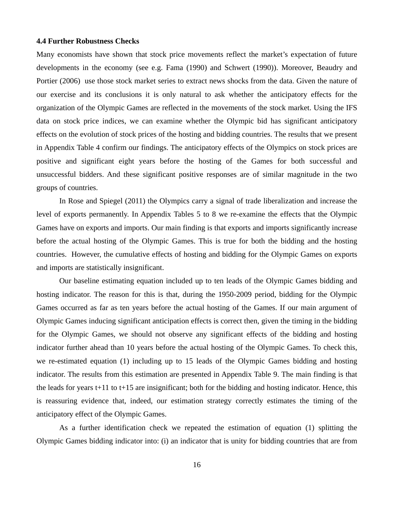#### **4.4 Further Robustness Checks**

Many economists have shown that stock price movements reflect the market's expectation of future developments in the economy (see e.g. Fama (1990) and Schwert (1990)). Moreover, Beaudry and Portier (2006) use those stock market series to extract news shocks from the data. Given the nature of our exercise and its conclusions it is only natural to ask whether the anticipatory effects for the organization of the Olympic Games are reflected in the movements of the stock market. Using the IFS data on stock price indices, we can examine whether the Olympic bid has significant anticipatory effects on the evolution of stock prices of the hosting and bidding countries. The results that we present in Appendix Table 4 confirm our findings. The anticipatory effects of the Olympics on stock prices are positive and significant eight years before the hosting of the Games for both successful and unsuccessful bidders. And these significant positive responses are of similar magnitude in the two groups of countries.

In Rose and Spiegel (2011) the Olympics carry a signal of trade liberalization and increase the level of exports permanently. In Appendix Tables 5 to 8 we re-examine the effects that the Olympic Games have on exports and imports. Our main finding is that exports and imports significantly increase before the actual hosting of the Olympic Games. This is true for both the bidding and the hosting countries. However, the cumulative effects of hosting and bidding for the Olympic Games on exports and imports are statistically insignificant.

 Our baseline estimating equation included up to ten leads of the Olympic Games bidding and hosting indicator. The reason for this is that, during the 1950-2009 period, bidding for the Olympic Games occurred as far as ten years before the actual hosting of the Games. If our main argument of Olympic Games inducing significant anticipation effects is correct then, given the timing in the bidding for the Olympic Games, we should not observe any significant effects of the bidding and hosting indicator further ahead than 10 years before the actual hosting of the Olympic Games. To check this, we re-estimated equation (1) including up to 15 leads of the Olympic Games bidding and hosting indicator. The results from this estimation are presented in Appendix Table 9. The main finding is that the leads for years  $t+11$  to  $t+15$  are insignificant; both for the bidding and hosting indicator. Hence, this is reassuring evidence that, indeed, our estimation strategy correctly estimates the timing of the anticipatory effect of the Olympic Games.

 As a further identification check we repeated the estimation of equation (1) splitting the Olympic Games bidding indicator into: (i) an indicator that is unity for bidding countries that are from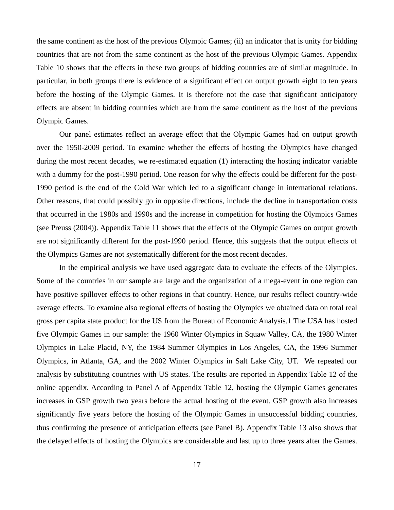the same continent as the host of the previous Olympic Games; (ii) an indicator that is unity for bidding countries that are not from the same continent as the host of the previous Olympic Games. Appendix Table 10 shows that the effects in these two groups of bidding countries are of similar magnitude. In particular, in both groups there is evidence of a significant effect on output growth eight to ten years before the hosting of the Olympic Games. It is therefore not the case that significant anticipatory effects are absent in bidding countries which are from the same continent as the host of the previous Olympic Games.

 Our panel estimates reflect an average effect that the Olympic Games had on output growth over the 1950-2009 period. To examine whether the effects of hosting the Olympics have changed during the most recent decades, we re-estimated equation (1) interacting the hosting indicator variable with a dummy for the post-1990 period. One reason for why the effects could be different for the post-1990 period is the end of the Cold War which led to a significant change in international relations. Other reasons, that could possibly go in opposite directions, include the decline in transportation costs that occurred in the 1980s and 1990s and the increase in competition for hosting the Olympics Games (see Preuss (2004)). Appendix Table 11 shows that the effects of the Olympic Games on output growth are not significantly different for the post-1990 period. Hence, this suggests that the output effects of the Olympics Games are not systematically different for the most recent decades.

 In the empirical analysis we have used aggregate data to evaluate the effects of the Olympics. Some of the countries in our sample are large and the organization of a mega-event in one region can have positive spillover effects to other regions in that country. Hence, our results reflect country-wide average effects. To examine also regional effects of hosting the Olympics we obtained data on total real gross per capita state product for the US from the Bureau of Economic Analysis.1 The USA has hosted five Olympic Games in our sample: the 1960 Winter Olympics in Squaw Valley, CA, the 1980 Winter Olympics in Lake Placid, NY, the 1984 Summer Olympics in Los Angeles, CA, the 1996 Summer Olympics, in Atlanta, GA, and the 2002 Winter Olympics in Salt Lake City, UT. We repeated our analysis by substituting countries with US states. The results are reported in Appendix Table 12 of the online appendix. According to Panel A of Appendix Table 12, hosting the Olympic Games generates increases in GSP growth two years before the actual hosting of the event. GSP growth also increases significantly five years before the hosting of the Olympic Games in unsuccessful bidding countries, thus confirming the presence of anticipation effects (see Panel B). Appendix Table 13 also shows that the delayed effects of hosting the Olympics are considerable and last up to three years after the Games.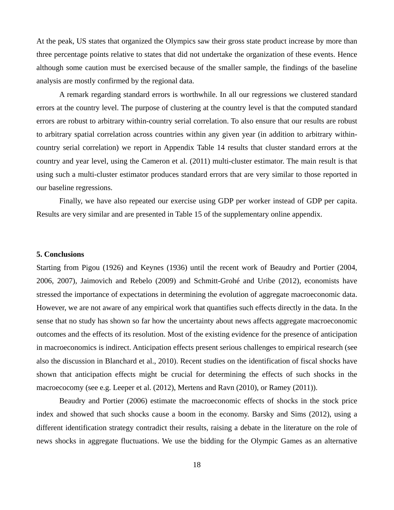At the peak, US states that organized the Olympics saw their gross state product increase by more than three percentage points relative to states that did not undertake the organization of these events. Hence although some caution must be exercised because of the smaller sample, the findings of the baseline analysis are mostly confirmed by the regional data.

 A remark regarding standard errors is worthwhile. In all our regressions we clustered standard errors at the country level. The purpose of clustering at the country level is that the computed standard errors are robust to arbitrary within-country serial correlation. To also ensure that our results are robust to arbitrary spatial correlation across countries within any given year (in addition to arbitrary withincountry serial correlation) we report in Appendix Table 14 results that cluster standard errors at the country and year level, using the Cameron et al. (2011) multi-cluster estimator. The main result is that using such a multi-cluster estimator produces standard errors that are very similar to those reported in our baseline regressions.

Finally, we have also repeated our exercise using GDP per worker instead of GDP per capita. Results are very similar and are presented in Table 15 of the supplementary online appendix.

#### **5. Conclusions**

Starting from Pigou (1926) and Keynes (1936) until the recent work of Beaudry and Portier (2004, 2006, 2007), Jaimovich and Rebelo (2009) and Schmitt-Grohé and Uribe (2012), economists have stressed the importance of expectations in determining the evolution of aggregate macroeconomic data. However, we are not aware of any empirical work that quantifies such effects directly in the data. In the sense that no study has shown so far how the uncertainty about news affects aggregate macroeconomic outcomes and the effects of its resolution. Most of the existing evidence for the presence of anticipation in macroeconomics is indirect. Anticipation effects present serious challenges to empirical research (see also the discussion in Blanchard et al., 2010). Recent studies on the identification of fiscal shocks have shown that anticipation effects might be crucial for determining the effects of such shocks in the macroecocomy (see e.g. Leeper et al. (2012), Mertens and Ravn (2010), or Ramey (2011)).

 Beaudry and Portier (2006) estimate the macroeconomic effects of shocks in the stock price index and showed that such shocks cause a boom in the economy. Barsky and Sims (2012), using a different identification strategy contradict their results, raising a debate in the literature on the role of news shocks in aggregate fluctuations. We use the bidding for the Olympic Games as an alternative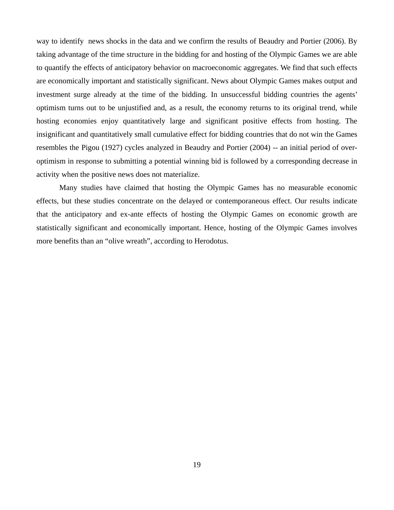way to identify news shocks in the data and we confirm the results of Beaudry and Portier (2006). By taking advantage of the time structure in the bidding for and hosting of the Olympic Games we are able to quantify the effects of anticipatory behavior on macroeconomic aggregates. We find that such effects are economically important and statistically significant. News about Olympic Games makes output and investment surge already at the time of the bidding. In unsuccessful bidding countries the agents' optimism turns out to be unjustified and, as a result, the economy returns to its original trend, while hosting economies enjoy quantitatively large and significant positive effects from hosting. The insignificant and quantitatively small cumulative effect for bidding countries that do not win the Games resembles the Pigou (1927) cycles analyzed in Beaudry and Portier (2004) -- an initial period of overoptimism in response to submitting a potential winning bid is followed by a corresponding decrease in activity when the positive news does not materialize.

 Many studies have claimed that hosting the Olympic Games has no measurable economic effects, but these studies concentrate on the delayed or contemporaneous effect. Our results indicate that the anticipatory and ex-ante effects of hosting the Olympic Games on economic growth are statistically significant and economically important. Hence, hosting of the Olympic Games involves more benefits than an "olive wreath", according to Herodotus.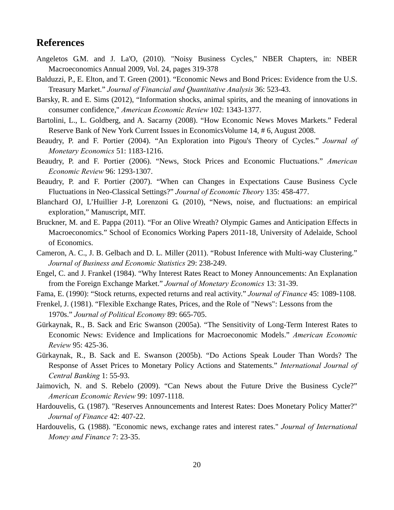## **References**

- Angeletos G.M. and J. La'O, (2010). "Noisy Business Cycles," NBER Chapters, in: NBER Macroeconomics Annual 2009, Vol. 24, pages 319-378
- Balduzzi, P., E. Elton, and T. Green (2001). "Economic News and Bond Prices: Evidence from the U.S. Treasury Market." *Journal of Financial and Quantitative Analysis* 36: 523-43.
- Barsky, R. and E. Sims (2012), "Information shocks, animal spirits, and the meaning of innovations in consumer confidence," *American Economic Review* 102: 1343-1377.
- Bartolini, L., L. Goldberg, and A. Sacarny (2008). "How Economic News Moves Markets." Federal Reserve Bank of New York Current Issues in EconomicsVolume 14, # 6, August 2008.
- Beaudry, P. and F. Portier (2004). "An Exploration into Pigou's Theory of Cycles." *Journal of Monetary Economics* 51: 1183-1216.
- Beaudry, P. and F. Portier (2006). "News, Stock Prices and Economic Fluctuations." *American Economic Review* 96: 1293-1307.
- Beaudry, P. and F. Portier (2007). "When can Changes in Expectations Cause Business Cycle Fluctuations in Neo-Classical Settings?" *Journal of Economic Theory* 135: 458-477.
- Blanchard OJ, L'Huillier J-P, Lorenzoni G. (2010), "News, noise, and fluctuations: an empirical exploration," Manuscript, MIT.
- Bruckner, M. and E. Pappa (2011). "For an Olive Wreath? Olympic Games and Anticipation Effects in Macroeconomics." School of Economics Working Papers 2011-18, University of Adelaide, School of Economics.
- Cameron, A. C., J. B. Gelbach and D. L. Miller (2011). "Robust Inference with Multi-way Clustering." *Journal of Business and Economic Statistics* 29: 238-249.
- Engel, C. and J. Frankel (1984). "Why Interest Rates React to Money Announcements: An Explanation from the Foreign Exchange Market." *Journal of Monetary Economics* 13: 31-39.
- Fama, E. (1990): "Stock returns, expected returns and real activity." *Journal of Finance* 45: 1089-1108.
- Frenkel, J. (1981). "Flexible Exchange Rates, Prices, and the Role of "News": Lessons from the 1970s." *Journal of Political Economy* 89: 665-705.
- Gürkaynak, R., B. Sack and Eric Swanson (2005a). "The Sensitivity of Long-Term Interest Rates to Economic News: Evidence and Implications for Macroeconomic Models." *American Economic Review* 95: 425-36.
- Gürkaynak, R., B. Sack and E. Swanson (2005b). "Do Actions Speak Louder Than Words? The Response of Asset Prices to Monetary Policy Actions and Statements." *International Journal of Central Banking* 1: 55-93.
- Jaimovich, N. and S. Rebelo (2009). "Can News about the Future Drive the Business Cycle?" *American Economic Review* 99: 1097-1118.
- Hardouvelis, G. (1987). "Reserves Announcements and Interest Rates: Does Monetary Policy Matter?" *Journal of Finance* 42: 407-22.
- Hardouvelis, G. (1988). "Economic news, exchange rates and interest rates." *Journal of International Money and Finance* 7: 23-35.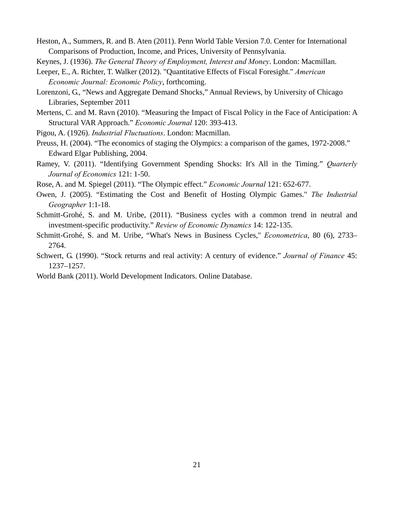Heston, A., Summers, R. and B. Aten (2011). Penn World Table Version 7.0. Center for International Comparisons of Production, Income, and Prices, University of Pennsylvania.

Keynes, J. (1936). *The General Theory of Employment, Interest and Money*. London: Macmillan.

- Leeper, E., A. Richter, T. Walker (2012). "Quantitative Effects of Fiscal Foresight." *American Economic Journal: Economic Policy*, forthcoming.
- Lorenzoni, G., "News and Aggregate Demand Shocks," Annual Reviews, by University of Chicago Libraries, September 2011
- Mertens, C. and M. Ravn (2010). "Measuring the Impact of Fiscal Policy in the Face of Anticipation: A Structural VAR Approach." *Economic Journal* 120: 393-413.
- Pigou, A. (1926). *Industrial Fluctuations*. London: Macmillan.
- Preuss, H. (2004). "The economics of staging the Olympics: a comparison of the games, 1972-2008." Edward Elgar Publishing, 2004.
- Ramey, V. (2011). "Identifying Government Spending Shocks: It's All in the Timing." *Quarterly Journal of Economics* 121: 1-50.
- Rose, A. and M. Spiegel (2011). "The Olympic effect." *Economic Journal* 121: 652-677.
- Owen, J. (2005). "Estimating the Cost and Benefit of Hosting Olympic Games." *The Industrial Geographer* 1:1-18.
- Schmitt-Grohé, S. and M. Uribe, (2011). "Business cycles with a common trend in neutral and investment-specific productivity." *Review of Economic Dynamics* 14: 122-135.
- Schmitt-Grohé, S. and M. Uribe, "What's News in Business Cycles," *Econometrica*, 80 (6), 2733– 2764.
- Schwert, G. (1990). "Stock returns and real activity: A century of evidence." *Journal of Finance* 45: 1237–1257.
- World Bank (2011). World Development Indicators. Online Database.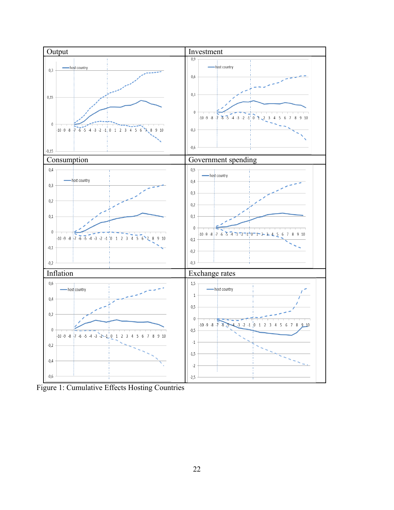

Figure 1: Cumulative Effects Hosting Countries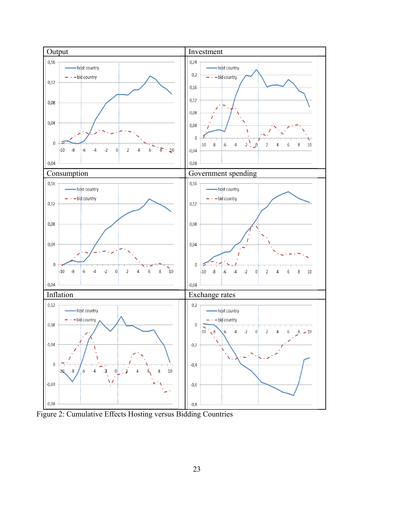

Figure 2: Cumulative Effects Hosting versus Bidding Countries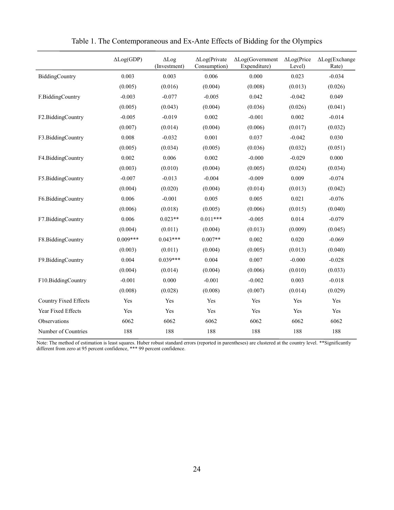|                              | $\Delta Log(GDP)$ | $\Delta$ Log<br>(Investment) | $\Delta$ Log(Private<br>Consumption) | $\Delta$ Log(Government<br>Expenditure) | $\Delta$ Log(Price<br>Level) | $\Delta$ Log(Exchange<br>Rate) |
|------------------------------|-------------------|------------------------------|--------------------------------------|-----------------------------------------|------------------------------|--------------------------------|
| BiddingCountry               | 0.003             | 0.003                        | 0.006                                | 0.000                                   | 0.023                        | $-0.034$                       |
|                              | (0.005)           | (0.016)                      | (0.004)                              | (0.008)                                 | (0.013)                      | (0.026)                        |
| F.BiddingCountry             | $-0.003$          | $-0.077$                     | $-0.005$                             | 0.042                                   | $-0.042$                     | 0.049                          |
|                              | (0.005)           | (0.043)                      | (0.004)                              | (0.036)                                 | (0.026)                      | (0.041)                        |
| F2.BiddingCountry            | $-0.005$          | $-0.019$                     | 0.002                                | $-0.001$                                | 0.002                        | $-0.014$                       |
|                              | (0.007)           | (0.014)                      | (0.004)                              | (0.006)                                 | (0.017)                      | (0.032)                        |
| F3.BiddingCountry            | 0.008             | $-0.032$                     | 0.001                                | 0.037                                   | $-0.042$                     | 0.030                          |
|                              | (0.005)           | (0.034)                      | (0.005)                              | (0.036)                                 | (0.032)                      | (0.051)                        |
| F4.BiddingCountry            | 0.002             | 0.006                        | 0.002                                | $-0.000$                                | $-0.029$                     | 0.000                          |
|                              | (0.003)           | (0.010)                      | (0.004)                              | (0.005)                                 | (0.024)                      | (0.034)                        |
| F5.BiddingCountry            | $-0.007$          | $-0.013$                     | $-0.004$                             | $-0.009$                                | 0.009                        | $-0.074$                       |
|                              | (0.004)           | (0.020)                      | (0.004)                              | (0.014)                                 | (0.013)                      | (0.042)                        |
| F6.BiddingCountry            | 0.006             | $-0.001$                     | 0.005                                | 0.005                                   | 0.021                        | $-0.076$                       |
|                              | (0.006)           | (0.018)                      | (0.005)                              | (0.006)                                 | (0.015)                      | (0.040)                        |
| F7.BiddingCountry            | 0.006             | $0.023**$                    | $0.011***$                           | $-0.005$                                | 0.014                        | $-0.079$                       |
|                              | (0.004)           | (0.011)                      | (0.004)                              | (0.013)                                 | (0.009)                      | (0.045)                        |
| F8.BiddingCountry            | $0.009***$        | $0.043***$                   | $0.007**$                            | 0.002                                   | 0.020                        | $-0.069$                       |
|                              | (0.003)           | (0.011)                      | (0.004)                              | (0.005)                                 | (0.013)                      | (0.040)                        |
| F9.BiddingCountry            | 0.004             | $0.039***$                   | 0.004                                | 0.007                                   | $-0.000$                     | $-0.028$                       |
|                              | (0.004)           | (0.014)                      | (0.004)                              | (0.006)                                 | (0.010)                      | (0.033)                        |
| F10.BiddingCountry           | $-0.001$          | 0.000                        | $-0.001$                             | $-0.002$                                | 0.003                        | $-0.018$                       |
|                              | (0.008)           | (0.028)                      | (0.008)                              | (0.007)                                 | (0.014)                      | (0.029)                        |
| <b>Country Fixed Effects</b> | Yes               | Yes                          | Yes                                  | Yes                                     | Yes                          | Yes                            |
| Year Fixed Effects           | Yes               | Yes                          | Yes                                  | Yes                                     | Yes                          | Yes                            |
| Observations                 | 6062              | 6062                         | 6062                                 | 6062                                    | 6062                         | 6062                           |
| Number of Countries          | 188               | 188                          | 188                                  | 188                                     | 188                          | 188                            |

Table 1. The Contemporaneous and Ex-Ante Effects of Bidding for the Olympics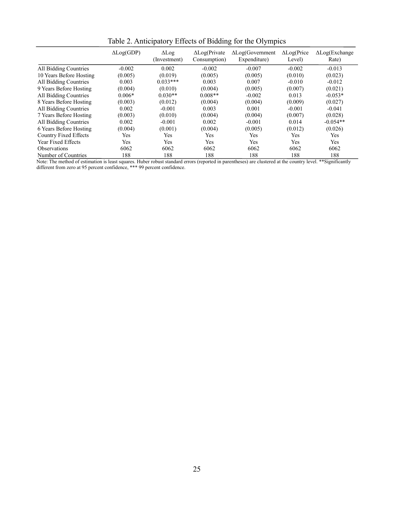|                              | $\Delta Log(GDP)$ | $\Delta$ Log<br>(Investment) | $\Delta$ Log(Private<br>Consumption) | $\Delta$ Log(Government<br>Expenditure) | $\Delta$ Log(Price<br>Level) | $\Delta$ Log(Exchange<br>Rate) |
|------------------------------|-------------------|------------------------------|--------------------------------------|-----------------------------------------|------------------------------|--------------------------------|
| All Bidding Countries        | $-0.002$          | 0.002                        | $-0.002$                             | $-0.007$                                | $-0.002$                     | $-0.013$                       |
| 10 Years Before Hosting      | (0.005)           | (0.019)                      | (0.005)                              | (0.005)                                 | (0.010)                      | (0.023)                        |
| All Bidding Countries        | 0.003             | $0.033***$                   | 0.003                                | 0.007                                   | $-0.010$                     | $-0.012$                       |
| 9 Years Before Hosting       | (0.004)           | (0.010)                      | (0.004)                              | (0.005)                                 | (0.007)                      | (0.021)                        |
| All Bidding Countries        | $0.006*$          | $0.030**$                    | $0.008**$                            | $-0.002$                                | 0.013                        | $-0.053*$                      |
| 8 Years Before Hosting       | (0.003)           | (0.012)                      | (0.004)                              | (0.004)                                 | (0.009)                      | (0.027)                        |
| All Bidding Countries        | 0.002             | $-0.001$                     | 0.003                                | 0.001                                   | $-0.001$                     | $-0.041$                       |
| 7 Years Before Hosting       | (0.003)           | (0.010)                      | (0.004)                              | (0.004)                                 | (0.007)                      | (0.028)                        |
| All Bidding Countries        | 0.002             | $-0.001$                     | 0.002                                | $-0.001$                                | 0.014                        | $-0.054**$                     |
| 6 Years Before Hosting       | (0.004)           | (0.001)                      | (0.004)                              | (0.005)                                 | (0.012)                      | (0.026)                        |
| <b>Country Fixed Effects</b> | Yes               | Yes                          | Yes                                  | Yes                                     | Yes                          | Yes                            |
| Year Fixed Effects           | Yes               | Yes                          | Yes                                  | Yes                                     | Yes                          | <b>Yes</b>                     |
| <b>Observations</b>          | 6062              | 6062                         | 6062                                 | 6062                                    | 6062                         | 6062                           |
| Number of Countries          | 188               | 188                          | 188                                  | 188                                     | 188                          | 188                            |

Table 2. Anticipatory Effects of Bidding for the Olympics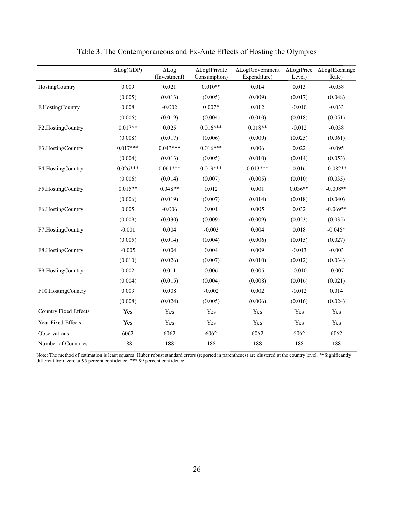|                              | $\Delta Log(GDP)$ | $\Delta$ Log<br>(Investment) | $\Delta$ Log(Private<br>Consumption) | $\Delta$ Log(Government<br>Expenditure)                                                                                          | $\Delta$ Log(Price<br>Level) | $\Delta$ Log(Exchange<br>Rate) |
|------------------------------|-------------------|------------------------------|--------------------------------------|----------------------------------------------------------------------------------------------------------------------------------|------------------------------|--------------------------------|
| HostingCountry               | 0.009             | 0.021                        | $0.010**$                            | 0.014                                                                                                                            | 0.013                        | $-0.058$                       |
|                              | (0.005)           | (0.013)                      | (0.005)                              | (0.009)                                                                                                                          | (0.017)                      | (0.048)                        |
| F.HostingCountry             | 0.008             | $-0.002$                     | $0.007*$<br>0.012                    |                                                                                                                                  | $-0.010$                     | $-0.033$                       |
|                              | (0.006)           | (0.019)                      | (0.004)                              | (0.010)                                                                                                                          | (0.018)                      | (0.051)                        |
| F2.HostingCountry            | $0.017**$         | 0.025                        | $0.016***$                           | $0.018**$<br>$-0.012$<br>(0.025)<br>(0.009)<br>0.006<br>0.022<br>(0.014)<br>(0.010)<br>$0.013***$<br>0.016<br>(0.010)<br>(0.005) |                              | $-0.038$                       |
|                              | (0.008)           | (0.017)                      | (0.006)                              |                                                                                                                                  |                              | (0.061)                        |
| F3.HostingCountry            | $0.017***$        | $0.043***$                   | $0.016***$                           |                                                                                                                                  |                              | $-0.095$                       |
|                              | (0.004)           | (0.013)                      | (0.005)                              |                                                                                                                                  |                              | (0.053)                        |
| F4.HostingCountry            | $0.026***$        | $0.061***$                   | $0.019***$                           |                                                                                                                                  |                              | $-0.082**$                     |
|                              | (0.006)           | (0.014)                      | (0.007)                              |                                                                                                                                  |                              | (0.035)                        |
| F5.HostingCountry            | $0.015**$         | $0.048**$                    | 0.012                                | 0.001                                                                                                                            | $0.036**$                    | $-0.098**$                     |
|                              | (0.006)           | (0.019)                      | (0.007)                              | (0.014)                                                                                                                          | (0.018)                      | (0.040)                        |
| F6.HostingCountry            | 0.005             | $-0.006$                     | 0.001                                | 0.005                                                                                                                            | 0.032                        | $-0.069**$                     |
|                              | (0.009)           | (0.030)                      | (0.009)                              | (0.009)                                                                                                                          | (0.023)                      | (0.035)                        |
| F7.HostingCountry            | $-0.001$          | 0.004                        | $-0.003$                             | 0.004                                                                                                                            | 0.018                        | $-0.046*$                      |
|                              | (0.005)           | (0.014)                      | (0.004)                              | (0.006)                                                                                                                          | (0.015)                      | (0.027)                        |
| F8.HostingCountry            | $-0.005$          | 0.004                        | 0.004                                | 0.009                                                                                                                            | $-0.013$                     | $-0.003$                       |
|                              | (0.010)           | (0.026)                      | (0.007)                              | (0.010)                                                                                                                          | (0.012)                      | (0.034)                        |
| F9.HostingCountry            | 0.002             | 0.011                        | 0.006                                | 0.005                                                                                                                            | $-0.010$                     | $-0.007$                       |
|                              | (0.004)           | (0.015)                      | (0.004)                              | (0.008)                                                                                                                          | (0.016)                      | (0.021)                        |
| F10.HostingCountry           | 0.003             | 0.008                        | $-0.002$                             | 0.002                                                                                                                            | $-0.012$                     | 0.014                          |
|                              | (0.008)           | (0.024)                      | (0.005)                              | (0.006)                                                                                                                          | (0.016)                      | (0.024)                        |
| <b>Country Fixed Effects</b> | Yes               | Yes                          | Yes                                  | Yes                                                                                                                              | Yes                          | Yes                            |
| Year Fixed Effects           | Yes               | Yes                          | Yes                                  | Yes                                                                                                                              | Yes                          | Yes                            |
| Observations                 | 6062              | 6062                         | 6062                                 | 6062                                                                                                                             | 6062                         | 6062                           |
| Number of Countries          | 188               | 188                          | 188                                  | 188                                                                                                                              | 188                          | 188                            |
|                              |                   |                              |                                      |                                                                                                                                  |                              |                                |

Table 3. The Contemporaneous and Ex-Ante Effects of Hosting the Olympics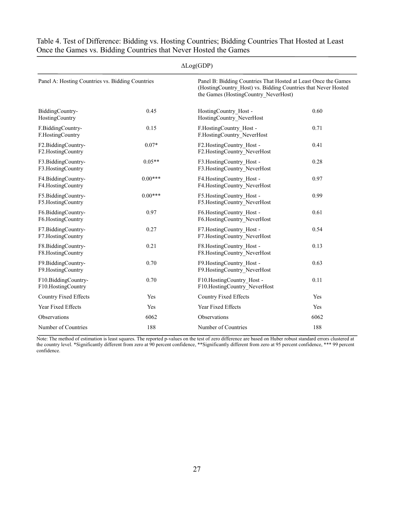| $\Delta Log(GDP)$                                |           |                                                                                                                                                                         |      |  |  |  |  |  |
|--------------------------------------------------|-----------|-------------------------------------------------------------------------------------------------------------------------------------------------------------------------|------|--|--|--|--|--|
| Panel A: Hosting Countries vs. Bidding Countries |           | Panel B: Bidding Countries That Hosted at Least Once the Games<br>(HostingCountry Host) vs. Bidding Countries that Never Hosted<br>the Games (HostingCountry NeverHost) |      |  |  |  |  |  |
| BiddingCountry-<br>HostingCountry                | 0.45      | HostingCountry Host -<br>HostingCountry NeverHost                                                                                                                       | 0.60 |  |  |  |  |  |
| F.BiddingCountry-<br>F.HostingCountry            | 0.15      | F.HostingCountry Host -<br>F.HostingCountry NeverHost                                                                                                                   | 0.71 |  |  |  |  |  |
| F2.BiddingCountry-<br>F2.HostingCountry          | $0.07*$   | F2.HostingCountry Host -<br>F2.HostingCountry NeverHost                                                                                                                 | 0.41 |  |  |  |  |  |
| F3.BiddingCountry-<br>F3.HostingCountry          | $0.05**$  | F3.HostingCountry_Host -<br>F3.HostingCountry NeverHost                                                                                                                 | 0.28 |  |  |  |  |  |
| F4.BiddingCountry-<br>F4.HostingCountry          | $0.00***$ | F4.HostingCountry Host -<br>F4.HostingCountry NeverHost                                                                                                                 | 0.97 |  |  |  |  |  |
| F5.BiddingCountry-<br>F5.HostingCountry          | $0.00***$ | F5.HostingCountry Host -<br>F5.HostingCountry NeverHost                                                                                                                 | 0.99 |  |  |  |  |  |
| F6.BiddingCountry-<br>F6.HostingCountry          | 0.97      | F6.HostingCountry_Host -<br>F6.HostingCountry NeverHost                                                                                                                 | 0.61 |  |  |  |  |  |
| F7.BiddingCountry-<br>F7.HostingCountry          | 0.27      | F7.HostingCountry Host -<br>F7.HostingCountry NeverHost                                                                                                                 | 0.54 |  |  |  |  |  |
| F8.BiddingCountry-<br>F8.HostingCountry          | 0.21      | F8.HostingCountry Host -<br>F8.HostingCountry NeverHost                                                                                                                 | 0.13 |  |  |  |  |  |
| F9.BiddingCountry-<br>F9.HostingCountry          | 0.70      | F9.HostingCountry Host -<br>F9.HostingCountry NeverHost                                                                                                                 | 0.63 |  |  |  |  |  |
| F10.BiddingCountry-<br>F10.HostingCountry        | 0.70      | F10.HostingCountry Host -<br>F10.HostingCountry NeverHost                                                                                                               | 0.11 |  |  |  |  |  |
| Country Fixed Effects                            | Yes       | Country Fixed Effects                                                                                                                                                   | Yes  |  |  |  |  |  |
| Year Fixed Effects                               | Yes       | Year Fixed Effects                                                                                                                                                      | Yes  |  |  |  |  |  |
| Observations                                     | 6062      | Observations                                                                                                                                                            | 6062 |  |  |  |  |  |
| Number of Countries                              | 188       | Number of Countries                                                                                                                                                     | 188  |  |  |  |  |  |

Table 4. Test of Difference: Bidding vs. Hosting Countries; Bidding Countries That Hosted at Least Once the Games vs. Bidding Countries that Never Hosted the Games

Note: The method of estimation is least squares. The reported p-values on the test of zero difference are based on Huber robust standard errors clustered at the country level. \*Significantly different from zero at 90 percent confidence, \*\*Significantly different from zero at 95 percent confidence, \*\*\* 99 percent confidence.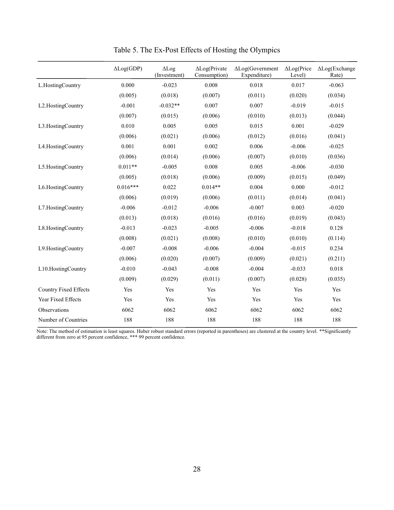|                              | $\Delta Log(GDP)$ | $\Delta$ Log<br>(Investment) | $\Delta$ Log(Private<br>Consumption) | $\Delta$ Log(Government<br>Expenditure) | $\Delta$ Log(Price<br>Level) | $\Delta$ Log(Exchange<br>Rate) |
|------------------------------|-------------------|------------------------------|--------------------------------------|-----------------------------------------|------------------------------|--------------------------------|
| L.HostingCountry             | 0.000             | $-0.023$                     | 0.008                                | 0.018                                   | 0.017                        | $-0.063$                       |
|                              | (0.005)           | (0.018)                      | (0.007)                              | (0.011)                                 | (0.020)                      | (0.034)                        |
| L2.HostingCountry            | $-0.001$          | $-0.032**$                   | 0.007                                | 0.007                                   | $-0.019$                     | $-0.015$                       |
|                              | (0.007)           | (0.015)                      | (0.006)                              | (0.010)                                 | (0.013)                      | (0.044)                        |
| L3.HostingCountry            | 0.010             | 0.005                        | 0.005                                | 0.015                                   | 0.001                        | $-0.029$                       |
|                              | (0.006)           | (0.021)                      | (0.006)                              | (0.012)                                 | (0.016)                      | (0.041)                        |
| L4.HostingCountry            | 0.001             | 0.001                        | 0.002                                | 0.006                                   | $-0.006$                     | $-0.025$                       |
|                              | (0.006)           | (0.014)                      | (0.006)                              | (0.007)                                 | (0.010)                      | (0.036)                        |
| L5.HostingCountry            | $0.011**$         | $-0.005$                     | 0.008                                | 0.005                                   | $-0.006$                     | $-0.030$                       |
|                              | (0.005)           | (0.018)                      | (0.006)                              | (0.009)                                 | (0.015)                      | (0.049)                        |
| L6.HostingCountry            | $0.016***$        | 0.022                        | $0.014**$                            | 0.004                                   | 0.000                        | $-0.012$                       |
|                              | (0.006)           | (0.019)                      | (0.006)                              | (0.011)                                 | (0.014)                      | (0.041)                        |
| L7.HostingCountry            | $-0.006$          | $-0.012$                     | $-0.006$                             | $-0.007$                                | 0.003                        | $-0.020$                       |
|                              | (0.013)           | (0.018)                      | (0.016)                              | (0.016)                                 | (0.019)                      | (0.043)                        |
| L8.HostingCountry            | $-0.013$          | $-0.023$                     | $-0.005$                             | $-0.006$                                | $-0.018$                     | 0.128                          |
|                              | (0.008)           | (0.021)                      | (0.008)                              | (0.010)                                 | (0.010)                      | (0.114)                        |
| L9.HostingCountry            | $-0.007$          | $-0.008$                     | $-0.006$                             | $-0.004$                                | $-0.015$                     | 0.234                          |
|                              | (0.006)           | (0.020)                      | (0.007)                              | (0.009)                                 | (0.021)                      | (0.211)                        |
| L10.HostingCountry           | $-0.010$          | $-0.043$                     | $-0.008$                             | $-0.004$                                | $-0.033$                     | 0.018                          |
|                              | (0.009)           | (0.029)                      | (0.011)                              | (0.007)                                 | (0.028)                      | (0.035)                        |
| <b>Country Fixed Effects</b> | Yes               | Yes                          | Yes                                  | Yes                                     | Yes                          | Yes                            |
| Year Fixed Effects           | Yes               | Yes                          | Yes                                  | Yes                                     | Yes                          | Yes                            |
| Observations                 | 6062              | 6062                         | 6062                                 | 6062                                    | 6062                         | 6062                           |
| Number of Countries          | 188               | 188                          | 188                                  | 188                                     | 188                          | 188                            |

Table 5. The Ex-Post Effects of Hosting the Olympics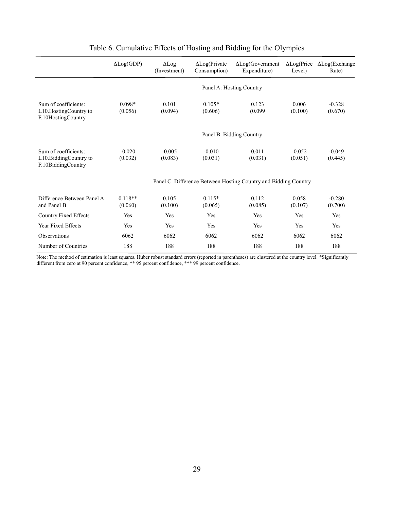|                                                                       | $\Delta Log(GDP)$    | $\Delta$ Log(Private<br>$\Delta$ Log<br>Consumption)<br>(Investment) |                          | $\Delta$ Log(Government<br>Expenditure)                         | $\Delta$ Log(Price<br>Level) | $\Delta$ Log(Exchange<br>Rate) |  |  |  |  |
|-----------------------------------------------------------------------|----------------------|----------------------------------------------------------------------|--------------------------|-----------------------------------------------------------------|------------------------------|--------------------------------|--|--|--|--|
|                                                                       |                      |                                                                      |                          | Panel A: Hosting Country                                        |                              |                                |  |  |  |  |
| Sum of coefficients:<br>L10. Hosting Country to<br>F.10HostingCountry | $0.098*$<br>(0.056)  | 0.101<br>(0.094)                                                     | $0.105*$<br>(0.606)      | 0.123<br>(0.099)                                                | 0.006<br>(0.100)             | $-0.328$<br>(0.670)            |  |  |  |  |
|                                                                       |                      |                                                                      | Panel B. Bidding Country |                                                                 |                              |                                |  |  |  |  |
| Sum of coefficients:<br>L10.BiddingCountry to<br>F.10BiddingCountry   | $-0.020$<br>(0.032)  | $-0.005$<br>(0.083)                                                  | $-0.010$<br>(0.031)      | 0.011<br>(0.031)                                                | $-0.052$<br>(0.051)          | $-0.049$<br>(0.445)            |  |  |  |  |
|                                                                       |                      |                                                                      |                          | Panel C. Difference Between Hosting Country and Bidding Country |                              |                                |  |  |  |  |
| Difference Between Panel A<br>and Panel B                             | $0.118**$<br>(0.060) | 0.105<br>(0.100)                                                     | $0.115*$<br>(0.065)      | 0.112<br>(0.085)                                                | 0.058<br>(0.107)             | $-0.280$<br>(0.700)            |  |  |  |  |
| Country Fixed Effects                                                 | Yes                  | Yes                                                                  | Yes                      | Yes                                                             | Yes                          | Yes                            |  |  |  |  |
| <b>Year Fixed Effects</b>                                             | Yes                  | Yes                                                                  | Yes                      | Yes                                                             | Yes                          | Yes                            |  |  |  |  |
| Observations                                                          | 6062                 | 6062                                                                 | 6062                     | 6062                                                            | 6062                         | 6062                           |  |  |  |  |
| Number of Countries                                                   | 188                  | 188                                                                  | 188                      | 188                                                             | 188                          | 188                            |  |  |  |  |

## Table 6. Cumulative Effects of Hosting and Bidding for the Olympics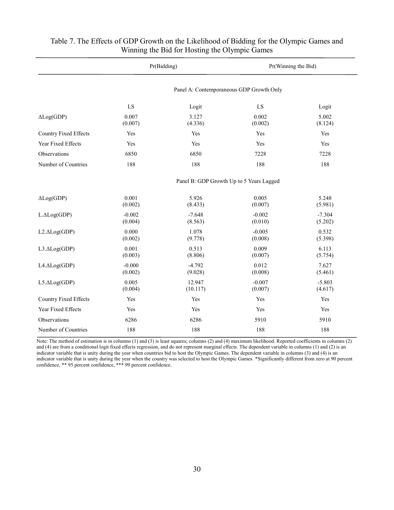|                       |                     | Pr(Bidding)                              | Pr(Winning the Bid) |                     |  |  |  |  |
|-----------------------|---------------------|------------------------------------------|---------------------|---------------------|--|--|--|--|
|                       |                     | Panel A: Contemporaneous GDP Growth Only |                     |                     |  |  |  |  |
|                       | LS                  | Logit                                    | ${\rm LS}$          | Logit               |  |  |  |  |
| $\Delta Log(GDP)$     | 0.007<br>(0.007)    | 3.127<br>(4.336)                         | 0.002<br>(0.002)    | 5.002<br>(8.124)    |  |  |  |  |
| Country Fixed Effects | Yes                 | Yes                                      | Yes                 | Yes                 |  |  |  |  |
| Year Fixed Effects    | Yes                 | Yes                                      | Yes                 | Yes                 |  |  |  |  |
| Observations          | 6850                | 6850                                     | 7228                | 7228                |  |  |  |  |
| Number of Countries   | 188                 | 188                                      | 188                 | 188                 |  |  |  |  |
|                       |                     | Panel B: GDP Growth Up to 5 Years Lagged |                     |                     |  |  |  |  |
| $\Delta Log(GDP)$     | 0.001<br>(0.002)    | 5.926<br>(8.433)                         | 0.005<br>(0.007)    | 5.248<br>(5.981)    |  |  |  |  |
| $L.\Delta Log(GDP)$   | $-0.002$<br>(0.004) | $-7.648$<br>(8.563)                      | $-0.002$<br>(0.010) | $-7.304$<br>(5.202) |  |  |  |  |
| $L2. \Delta Log(GDP)$ | 0.000<br>(0.002)    | 1.078<br>(9.778)                         | $-0.005$<br>(0.008) | 0.532<br>(5.398)    |  |  |  |  |
| L3.ALog(GDP)          | 0.001<br>(0.003)    | 0.513<br>(8.806)                         | 0.009<br>(0.007)    | 6.113<br>(5.754)    |  |  |  |  |
| L4.ALog(GDP)          | $-0.000$<br>(0.002) | $-4.792$<br>(9.028)                      | 0.012<br>(0.008)    | 7.627<br>(5.461)    |  |  |  |  |
| L5.ALog(GDP)          | 0.005<br>(0.004)    | 12.947<br>(10.117)                       | $-0.007$<br>(0.007) | $-5.803$<br>(4.617) |  |  |  |  |
| Country Fixed Effects | Yes                 | Yes                                      | Yes                 | Yes                 |  |  |  |  |
| Year Fixed Effects    | Yes                 | Yes                                      | Yes                 | Yes                 |  |  |  |  |
| Observations          | 6286                | 6286                                     | 5910                | 5910                |  |  |  |  |
| Number of Countries   | 188                 | 188                                      | 188                 | 188                 |  |  |  |  |

#### Table 7. The Effects of GDP Growth on the Likelihood of Bidding for the Olympic Games and Winning the Bid for Hosting the Olympic Games

Note: The method of estimation is in columns (1) and (3) is least squares; columns (2) and (4) maximum likelihood. Reported coefficients in columns (2) and (4) are from a conditional logit fixed effects regression, and do not represent marginal effects. The dependent variable in columns (1) and (2) is an indicator variable that is unity during the year when countries bid to host the Olympic Games. The dependent variable in columns (3) and (4) is an indicator variable that is unity during the year when the country was selected to host the Olympic Games. \*Significantly different from zero at 90 percent confidence, \*\* 95 percent confidence, \*\*\* 99 percent confidence.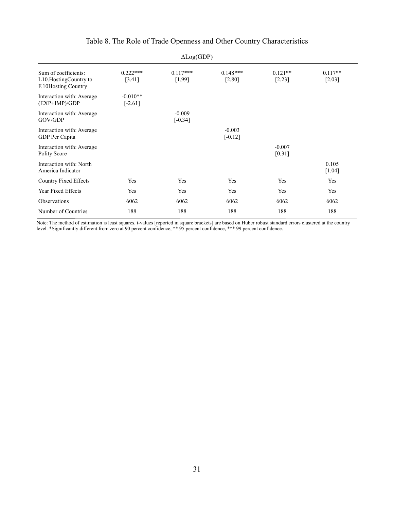| $\Delta Log(GDP)$                                                    |                         |                       |                       |                       |                     |  |  |  |  |  |
|----------------------------------------------------------------------|-------------------------|-----------------------|-----------------------|-----------------------|---------------------|--|--|--|--|--|
| Sum of coefficients:<br>L10.HostingCountry to<br>F.10Hosting Country | $0.222***$<br>[3.41]    | $0.117***$<br>[1.99]  | $0.148***$<br>[2.80]  | $0.121**$<br>$[2.23]$ | $0.117**$<br>[2.03] |  |  |  |  |  |
| Interaction with: Average<br>(EXP+IMP)/GDP                           | $-0.010**$<br>$[-2.61]$ |                       |                       |                       |                     |  |  |  |  |  |
| Interaction with: Average<br>GOV/GDP                                 |                         | $-0.009$<br>$[-0.34]$ |                       |                       |                     |  |  |  |  |  |
| Interaction with: Average<br>GDP Per Capita                          |                         |                       | $-0.003$<br>$[-0.12]$ |                       |                     |  |  |  |  |  |
| Interaction with: Average<br>Polity Score                            |                         |                       |                       | $-0.007$<br>[0.31]    |                     |  |  |  |  |  |
| Interaction with: North<br>America Indicator                         |                         |                       |                       |                       | 0.105<br>$[1.04]$   |  |  |  |  |  |
| Country Fixed Effects                                                | Yes                     | Yes                   | Yes                   | Yes                   | Yes                 |  |  |  |  |  |
| Year Fixed Effects                                                   | Yes                     | Yes                   | Yes                   | Yes                   | Yes                 |  |  |  |  |  |
| Observations                                                         | 6062                    | 6062                  | 6062                  | 6062                  | 6062                |  |  |  |  |  |
| Number of Countries                                                  | 188                     | 188                   | 188                   | 188                   | 188                 |  |  |  |  |  |

## Table 8. The Role of Trade Openness and Other Country Characteristics

Note: The method of estimation is least squares. t-values [reported in square brackets] are based on Huber robust standard errors clustered at the country level. \*Significantly different from zero at 90 percent confidence, \*\* 95 percent confidence, \*\*\* 99 percent confidence.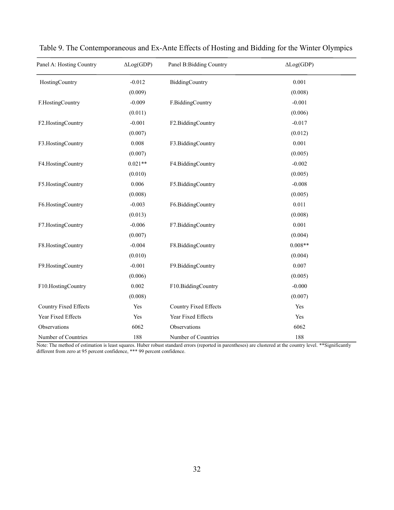| Panel A: Hosting Country     | $\Delta Log(GDP)$ | Panel B: Bidding Country | $\Delta Log(GDP)$ |
|------------------------------|-------------------|--------------------------|-------------------|
| HostingCountry               | $-0.012$          | BiddingCountry           | 0.001             |
|                              | (0.009)           |                          | (0.008)           |
| F.HostingCountry             | $-0.009$          | F.BiddingCountry         | $-0.001$          |
|                              | (0.011)           |                          | (0.006)           |
| F2.HostingCountry            | $-0.001$          | F2.BiddingCountry        | $-0.017$          |
|                              | (0.007)           |                          | (0.012)           |
| F3.HostingCountry            | 0.008             | F3.BiddingCountry        | 0.001             |
|                              | (0.007)           |                          | (0.005)           |
| F4.HostingCountry            | $0.021**$         | F4.BiddingCountry        | $-0.002$          |
|                              | (0.010)           |                          | (0.005)           |
| F5.HostingCountry            | 0.006             | F5.BiddingCountry        | $-0.008$          |
|                              | (0.008)           |                          | (0.005)           |
| F6.HostingCountry            | $-0.003$          | F6.BiddingCountry        | 0.011             |
|                              | (0.013)           |                          | (0.008)           |
| F7.HostingCountry            | $-0.006$          | F7.BiddingCountry        | 0.001             |
|                              | (0.007)           |                          | (0.004)           |
| F8.HostingCountry            | $-0.004$          | F8.BiddingCountry        | $0.008**$         |
|                              | (0.010)           |                          | (0.004)           |
| F9.HostingCountry            | $-0.001$          | F9.BiddingCountry        | 0.007             |
|                              | (0.006)           |                          | (0.005)           |
| F10.HostingCountry           | 0.002             | F10.BiddingCountry       | $-0.000$          |
|                              | (0.008)           |                          | (0.007)           |
| <b>Country Fixed Effects</b> | Yes               | Country Fixed Effects    | Yes               |
| Year Fixed Effects           | Yes               | Year Fixed Effects       | Yes               |
| Observations                 | 6062              | Observations             | 6062              |
| Number of Countries          | 188               | Number of Countries      | 188               |

| Table 9. The Contemporaneous and Ex-Ante Effects of Hosting and Bidding for the Winter Olympics |  |  |  |  |
|-------------------------------------------------------------------------------------------------|--|--|--|--|
|                                                                                                 |  |  |  |  |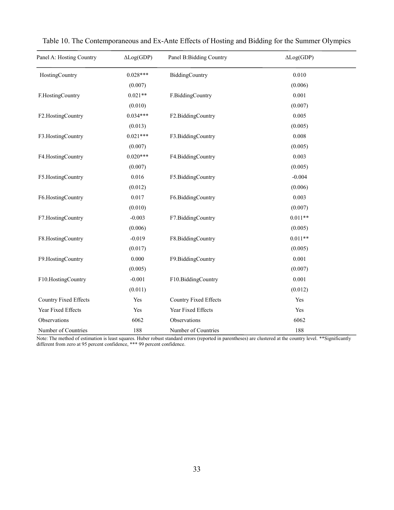| Panel A: Hosting Country | $\Delta Log(GDP)$ | Panel B: Bidding Country | $\Delta Log(GDP)$ |
|--------------------------|-------------------|--------------------------|-------------------|
| HostingCountry           | $0.028***$        | BiddingCountry           | 0.010             |
|                          | (0.007)           |                          | (0.006)           |
| F.HostingCountry         | $0.021**$         | F.BiddingCountry         | 0.001             |
|                          | (0.010)           |                          | (0.007)           |
| F2.HostingCountry        | $0.034***$        | F2.BiddingCountry        | 0.005             |
|                          | (0.013)           |                          | (0.005)           |
| F3.HostingCountry        | $0.021***$        | F3.BiddingCountry        | 0.008             |
|                          | (0.007)           |                          | (0.005)           |
| F4.HostingCountry        | $0.020***$        | F4.BiddingCountry        | 0.003             |
|                          | (0.007)           |                          | (0.005)           |
| F5.HostingCountry        | 0.016             | F5.BiddingCountry        | $-0.004$          |
|                          | (0.012)           |                          | (0.006)           |
| F6.HostingCountry        | 0.017             | F6.BiddingCountry        | 0.003             |
|                          | (0.010)           |                          | (0.007)           |
| F7.HostingCountry        | $-0.003$          | F7.BiddingCountry        | $0.011**$         |
|                          | (0.006)           |                          | (0.005)           |
| F8.HostingCountry        | $-0.019$          | F8.BiddingCountry        | $0.011**$         |
|                          | (0.017)           |                          | (0.005)           |
| F9.HostingCountry        | 0.000             | F9.BiddingCountry        | 0.001             |
|                          | (0.005)           |                          | (0.007)           |
| F10.HostingCountry       | $-0.001$          | F10.BiddingCountry       | 0.001             |
|                          | (0.011)           |                          | (0.012)           |
| Country Fixed Effects    | Yes               | Country Fixed Effects    | Yes               |
| Year Fixed Effects       | Yes               | Year Fixed Effects       | Yes               |
| Observations             | 6062              | Observations             | 6062              |
| Number of Countries      | 188               | Number of Countries      | 188               |

|  |  | Table 10. The Contemporaneous and Ex-Ante Effects of Hosting and Bidding for the Summer Olympics |  |  |  |  |  |  |  |
|--|--|--------------------------------------------------------------------------------------------------|--|--|--|--|--|--|--|
|  |  |                                                                                                  |  |  |  |  |  |  |  |